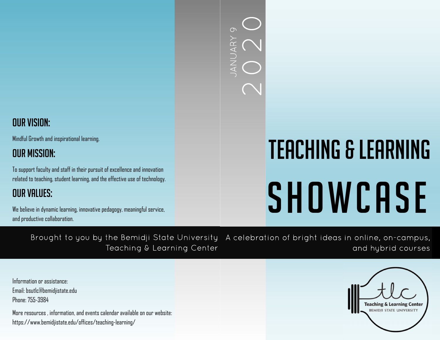## 2020 JANUARY 9  $\circ$ ANUARY

## Our Vision:

Mindful Growth and inspirational learning.

## Our Mission:

To support faculty and staff in their pursuit of excellence and innovation related to teaching, student learning, and the effective use of technology.

## Our Values:

We believe in dynamic learning, innovative pedagogy, meaningful service, and productive collaboration.

# Teaching & Learning SHOWCASE

Brought to you by the Bemidji State University Teaching & Learning Center A celebration of bright ideas in online, on-campus, and hybrid courses

Information or assistance: Email: bsutlc@bemidjistate.edu Phone: 755-3984

More resources , information, and events calendar available on our website: https://www.bemidjistate.edu/offices/teaching-learning/